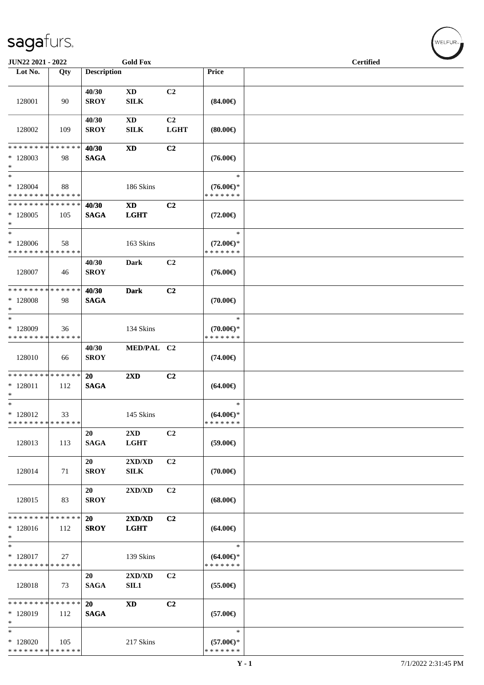| JUN22 2021 - 2022                                                |     |                          | <b>Gold Fox</b>                       |                               |                                                | <b>Certified</b> |  |
|------------------------------------------------------------------|-----|--------------------------|---------------------------------------|-------------------------------|------------------------------------------------|------------------|--|
| Lot No.                                                          | Qty | <b>Description</b>       |                                       |                               | Price                                          |                  |  |
| 128001                                                           | 90  | 40/30<br><b>SROY</b>     | <b>XD</b><br><b>SILK</b>              | C2                            | $(84.00\epsilon)$                              |                  |  |
| 128002                                                           | 109 | 40/30<br><b>SROY</b>     | $\mathbf{X}\mathbf{D}$<br><b>SILK</b> | C <sub>2</sub><br><b>LGHT</b> | (80.00)                                        |                  |  |
| * * * * * * * * * * * * * *<br>* 128003<br>$*$                   | 98  | 40/30<br><b>SAGA</b>     | <b>XD</b>                             | C2                            | $(76.00\epsilon)$                              |                  |  |
| $\ast$<br>$*128004$<br>* * * * * * * * * * * * * *               | 88  |                          | 186 Skins                             |                               | $\ast$<br>$(76.00\epsilon)$ *<br>* * * * * * * |                  |  |
| * * * * * * * * * * * * * *<br>$*128005$<br>$\ast$               | 105 | 40/30<br><b>SAGA</b>     | <b>XD</b><br><b>LGHT</b>              | C <sub>2</sub>                | $(72.00\epsilon)$                              |                  |  |
| $\ast$<br>$*128006$<br>* * * * * * * * * * * * * *               | 58  |                          | 163 Skins                             |                               | $\ast$<br>$(72.00\epsilon)$ *<br>* * * * * * * |                  |  |
| 128007                                                           | 46  | 40/30<br><b>SROY</b>     | Dark                                  | C2                            | $(76.00\epsilon)$                              |                  |  |
| * * * * * * * * * * * * * *<br>$*128008$<br>$\ast$               | 98  | 40/30<br><b>SAGA</b>     | <b>Dark</b>                           | C2                            | $(70.00\epsilon)$                              |                  |  |
| $\ast$<br>* 128009<br>* * * * * * * * <mark>* * * * * * *</mark> | 36  |                          | 134 Skins                             |                               | $\ast$<br>$(70.00\epsilon)$ *<br>* * * * * * * |                  |  |
| 128010                                                           | 66  | 40/30<br><b>SROY</b>     | MED/PAL C2                            |                               | $(74.00\epsilon)$                              |                  |  |
| * * * * * * * * * * * * * *<br>$* 128011$<br>$\ast$              | 112 | 20<br><b>SAGA</b>        | 2XD                                   | C2                            | $(64.00\epsilon)$                              |                  |  |
| $\ast$<br>$* 128012$<br>* * * * * * * * * * * * * *              | 33  |                          | 145 Skins                             |                               | $\ast$<br>$(64.00ε)$ *<br>* * * * * * *        |                  |  |
| 128013                                                           | 113 | 20<br><b>SAGA</b>        | 2XD<br><b>LGHT</b>                    | C2                            | $(59.00\epsilon)$                              |                  |  |
| 128014                                                           | 71  | 20<br><b>SROY</b>        | 2XD/XD<br><b>SILK</b>                 | C2                            | $(70.00\epsilon)$                              |                  |  |
| 128015                                                           | 83  | <b>20</b><br><b>SROY</b> | 2XD/XD                                | C2                            | $(68.00\epsilon)$                              |                  |  |
| * * * * * * * * * * * * * *<br>$*128016$<br>$\ast$               | 112 | <b>20</b><br><b>SROY</b> | 2XD/XD<br><b>LGHT</b>                 | C2                            | $(64.00\epsilon)$                              |                  |  |
| $\ast$<br>$*$ 128017<br>* * * * * * * * * * * * * *              | 27  |                          | 139 Skins                             |                               | $\ast$<br>$(64.00\epsilon)$ *<br>* * * * * * * |                  |  |
| 128018                                                           | 73  | 20<br><b>SAGA</b>        | 2XD/XD<br>SIL1                        | C2                            | $(55.00\epsilon)$                              |                  |  |
| * * * * * * * * * * * * * *<br>$*128019$<br>$\ast$               | 112 | 20<br><b>SAGA</b>        | <b>XD</b>                             | C2                            | $(57.00\epsilon)$                              |                  |  |
| $\ast$<br>$*128020$<br>* * * * * * * * * * * * * *               | 105 |                          | 217 Skins                             |                               | $\ast$<br>$(57.00\epsilon)$ *<br>* * * * * * * |                  |  |

WELFUR<sub>"</sub>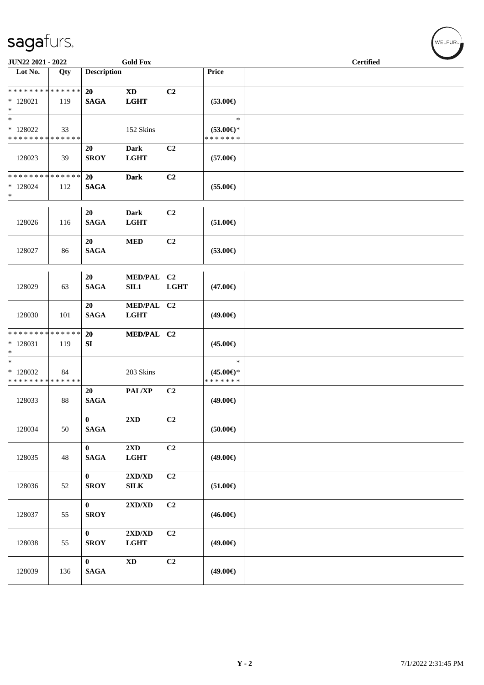| JUN22 2021 - 2022                                  |     |                             | <b>Gold Fox</b>                                  |             |                                                | <b>Certified</b> |  |  |
|----------------------------------------------------|-----|-----------------------------|--------------------------------------------------|-------------|------------------------------------------------|------------------|--|--|
| Lot No.                                            | Qty | <b>Description</b>          |                                                  |             | Price                                          |                  |  |  |
| * * * * * * * * * * * * * *<br>$*128021$<br>$\ast$ | 119 | <b>20</b><br><b>SAGA</b>    | $\boldsymbol{\mathrm{XD}}$<br><b>LGHT</b>        | C2          | $(53.00\epsilon)$                              |                  |  |  |
| $\ast$<br>$*128022$<br>* * * * * * * * * * * * * * | 33  |                             | 152 Skins                                        |             | $\ast$<br>$(53.00\epsilon)$ *<br>* * * * * * * |                  |  |  |
| 128023                                             | 39  | 20<br><b>SROY</b>           | <b>Dark</b><br><b>LGHT</b>                       | C2          | $(57.00\epsilon)$                              |                  |  |  |
| * * * * * * * * * * * * * *<br>$*128024$<br>$\ast$ | 112 | <b>20</b><br><b>SAGA</b>    | <b>Dark</b>                                      | C2          | $(55.00\epsilon)$                              |                  |  |  |
| 128026                                             | 116 | 20<br><b>SAGA</b>           | Dark<br><b>LGHT</b>                              | C2          | $(51.00\epsilon)$                              |                  |  |  |
| 128027                                             | 86  | 20<br><b>SAGA</b>           | <b>MED</b>                                       | C2          | $(53.00\epsilon)$                              |                  |  |  |
| 128029                                             | 63  | 20<br><b>SAGA</b>           | MED/PAL C2<br>SIL1                               | <b>LGHT</b> | $(47.00\epsilon)$                              |                  |  |  |
| 128030                                             | 101 | 20<br><b>SAGA</b>           | MED/PAL C2<br><b>LGHT</b>                        |             | $(49.00\epsilon)$                              |                  |  |  |
| * * * * * * * * * * * * * *<br>$*128031$<br>$\ast$ | 119 | 20<br>SI                    | MED/PAL C2                                       |             | $(45.00\epsilon)$                              |                  |  |  |
| $\ast$<br>* 128032<br>* * * * * * * * * * * * * *  | 84  |                             | 203 Skins                                        |             | $\ast$<br>$(45.00\epsilon)$ *<br>* * * * * * * |                  |  |  |
| 128033                                             | 88  | 20<br><b>SAGA</b>           | PAL/XP                                           | C2          | $(49.00\epsilon)$                              |                  |  |  |
| 128034                                             | 50  | $\mathbf{0}$<br><b>SAGA</b> | $2\mathbf{X}\mathbf{D}$                          | C2          | (50.00)                                        |                  |  |  |
| 128035                                             | 48  | $\mathbf{0}$<br><b>SAGA</b> | 2XD<br><b>LGHT</b>                               | C2          | $(49.00\epsilon)$                              |                  |  |  |
| 128036                                             | 52  | $\bf{0}$<br><b>SROY</b>     | $2{\bf X}{\bf D}/{\bf X}{\bf D}$<br>${\bf SILK}$ | C2          | $(51.00\epsilon)$                              |                  |  |  |
| 128037                                             | 55  | $\bf{0}$<br><b>SROY</b>     | $2{\bf X}{\bf D}/{\bf X}{\bf D}$                 | C2          | $(46.00\epsilon)$                              |                  |  |  |
| 128038                                             | 55  | $\bf{0}$<br><b>SROY</b>     | 2XD/XD<br><b>LGHT</b>                            | C2          | $(49.00\epsilon)$                              |                  |  |  |
| 128039                                             | 136 | $\bf{0}$<br>$\mathbf{SAGA}$ | $\mathbf{X}\mathbf{D}$                           | C2          | $(49.00\epsilon)$                              |                  |  |  |

WELFUR<sub><sup>N</sub></sub></sub></sup>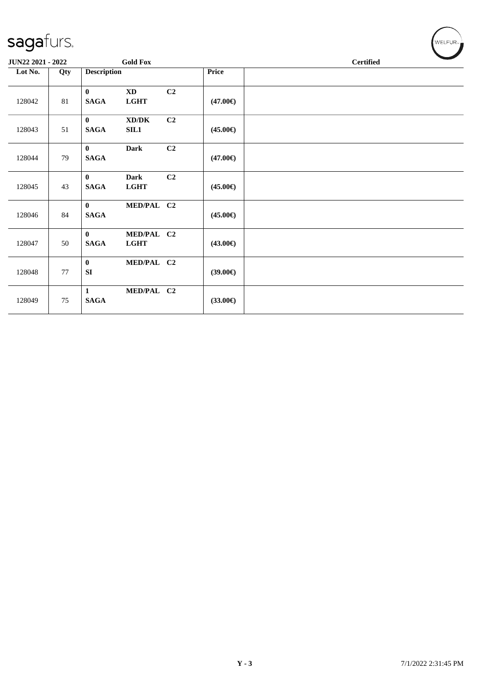| JUN22 2021 - 2022 |     | <b>Gold Fox</b>                                                  |    |                   | <b>Certified</b> |
|-------------------|-----|------------------------------------------------------------------|----|-------------------|------------------|
| Lot No.           | Qty | <b>Description</b>                                               |    | Price             |                  |
| 128042            | 81  | $\bf{0}$<br>$\mathbf{X}\mathbf{D}$<br><b>LGHT</b><br><b>SAGA</b> | C2 | $(47.00\epsilon)$ |                  |
| 128043            | 51  | XD/DK<br>$\mathbf{0}$<br><b>SAGA</b><br>SL1                      | C2 | $(45.00\epsilon)$ |                  |
| 128044            | 79  | $\mathbf{0}$<br><b>Dark</b><br><b>SAGA</b>                       | C2 | $(47.00\epsilon)$ |                  |
| 128045            | 43  | <b>Dark</b><br>$\bf{0}$<br><b>SAGA</b><br><b>LGHT</b>            | C2 | $(45.00\epsilon)$ |                  |
| 128046            | 84  | MED/PAL C2<br>$\mathbf{0}$<br><b>SAGA</b>                        |    | $(45.00\epsilon)$ |                  |
| 128047            | 50  | $\mathbf{0}$<br>MED/PAL C2<br><b>SAGA</b><br>LGHT                |    | $(43.00\epsilon)$ |                  |
| 128048            | 77  | $\bf{0}$<br>MED/PAL C2<br>SI                                     |    | $(39.00\epsilon)$ |                  |
| 128049            | 75  | MED/PAL C2<br>$\mathbf{1}$<br><b>SAGA</b>                        |    | $(33.00\epsilon)$ |                  |

 $(\bigvee_{w \in \text{LFUR}_{\text{max}}})$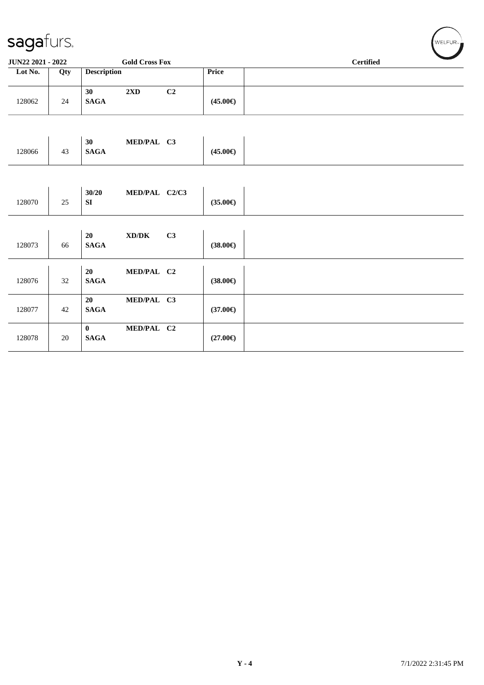| sagafurs.         |        |                         |                                     |                |                   | WELFUR <sub>™</sub> |
|-------------------|--------|-------------------------|-------------------------------------|----------------|-------------------|---------------------|
| JUN22 2021 - 2022 |        |                         | <b>Gold Cross Fox</b>               |                |                   | <b>Certified</b>    |
| Lot No.           | Qty    | <b>Description</b>      |                                     |                | Price             |                     |
| 128062            | $24\,$ | 30<br><b>SAGA</b>       | $2\mathbf{X}\mathbf{D}$             | C <sub>2</sub> | $(45.00\epsilon)$ |                     |
| 128066            | 43     | 30<br><b>SAGA</b>       | MED/PAL C3                          |                | $(45.00\epsilon)$ |                     |
|                   |        |                         |                                     |                |                   |                     |
| 128070            | $25\,$ | 30/20<br>SI             | MED/PAL C2/C3                       |                | $(35.00\epsilon)$ |                     |
| 128073            | 66     | 20<br><b>SAGA</b>       | $\bold{X}\bold{D}/\bold{D}\bold{K}$ | C3             | $(38.00\epsilon)$ |                     |
| 128076            | 32     | 20<br><b>SAGA</b>       | MED/PAL C2                          |                | $(38.00\epsilon)$ |                     |
| 128077            | 42     | 20<br><b>SAGA</b>       | MED/PAL C3                          |                | $(37.00\epsilon)$ |                     |
| 128078            | $20\,$ | $\bf{0}$<br><b>SAGA</b> | MED/PAL C2                          |                | $(27.00\epsilon)$ |                     |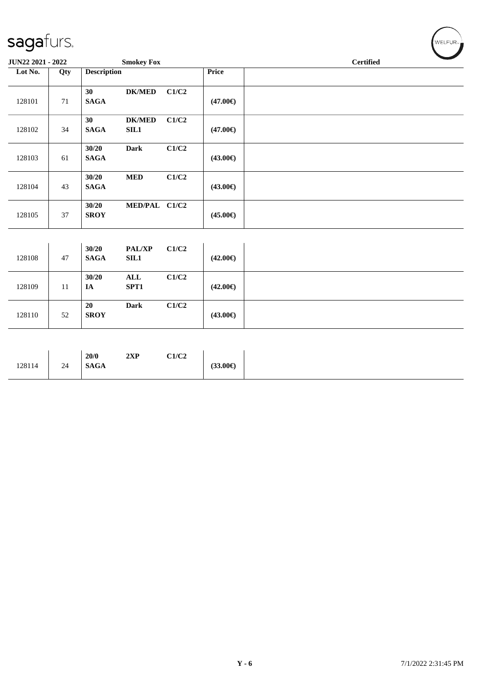| JUN22 2021 - 2022 |        |                          | <b>Smokey Fox</b>      |       | <b>Certified</b>  |  |  |  |  |
|-------------------|--------|--------------------------|------------------------|-------|-------------------|--|--|--|--|
| Lot No.           | Qty    | <b>Description</b>       |                        |       | Price             |  |  |  |  |
| 128101            | $71\,$ | 30<br><b>SAGA</b>        | <b>DK/MED</b>          | C1/C2 | $(47.00\epsilon)$ |  |  |  |  |
| 128102            | 34     | 30<br><b>SAGA</b>        | <b>DK/MED</b><br>SL1   | C1/C2 | $(47.00\epsilon)$ |  |  |  |  |
| 128103            | 61     | 30/20<br>$\mathbf{SAGA}$ | <b>Dark</b>            | C1/C2 | $(43.00\epsilon)$ |  |  |  |  |
| 128104            | 43     | 30/20<br><b>SAGA</b>     | <b>MED</b>             | C1/C2 | $(43.00\epsilon)$ |  |  |  |  |
| 128105            | 37     | 30/20<br><b>SROY</b>     | MED/PAL C1/C2          |       | $(45.00\epsilon)$ |  |  |  |  |
|                   |        |                          |                        |       |                   |  |  |  |  |
| 128108            | 47     | 30/20<br><b>SAGA</b>     | <b>PAL/XP</b><br>SL1   | C1/C2 | $(42.00\epsilon)$ |  |  |  |  |
| 128109            | $11\,$ | 30/20<br>$I\!\!A$        | $\mathbf{ALL}$<br>SPT1 | C1/C2 | $(42.00\epsilon)$ |  |  |  |  |
| 128110            | 52     | 20<br><b>SROY</b>        | <b>Dark</b>            | C1/C2 | $(43.00\epsilon)$ |  |  |  |  |

| 128114 | 20/0<br>2 <sub>w</sub><br>4AF<br><b>SAGA</b><br>24 | C1/C2<br>$(33.00 \in )$ |
|--------|----------------------------------------------------|-------------------------|
|--------|----------------------------------------------------|-------------------------|

 $(\mathsf{WELFUR}_{\approx})$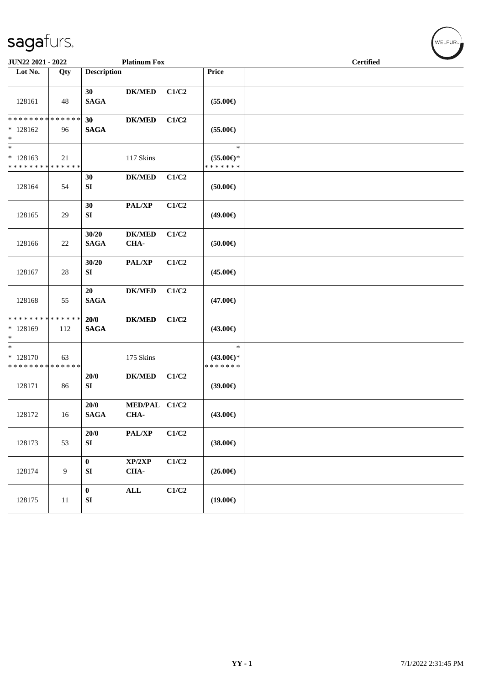| JUN22 2021 - 2022                                              |                |                               | <b>Platinum Fox</b>   |       |                                                | <b>Certified</b> |
|----------------------------------------------------------------|----------------|-------------------------------|-----------------------|-------|------------------------------------------------|------------------|
| Lot No.                                                        | Qty            | <b>Description</b>            |                       |       | <b>Price</b>                                   |                  |
| 128161                                                         | 48             | 30<br><b>SAGA</b>             | <b>DK/MED</b>         | C1/C2 | $(55.00\epsilon)$                              |                  |
| * * * * * * * * * * * * * *<br>$*128162$<br>$\ast$             | 96             | 30<br><b>SAGA</b>             | <b>DK/MED</b>         | C1/C2 | $(55.00\epsilon)$                              |                  |
| $\ast$<br>$* 128163$<br>* * * * * * * * * * * * * *            | 21             |                               | 117 Skins             |       | $\ast$<br>$(55.00\epsilon)$ *<br>* * * * * * * |                  |
| 128164                                                         | 54             | 30<br>${\bf S}{\bf I}$        | <b>DK/MED</b>         | C1/C2 | $(50.00\epsilon)$                              |                  |
| 128165                                                         | 29             | 30<br>${\bf SI}$              | PAL/XP                | C1/C2 | (49.00€)                                       |                  |
| 128166                                                         | 22             | 30/20<br><b>SAGA</b>          | <b>DK/MED</b><br>CHA- | C1/C2 | $(50.00\epsilon)$                              |                  |
| 128167                                                         | 28             | 30/20<br>${\bf S}{\bf I}$     | PAL/XP                | C1/C2 | $(45.00\epsilon)$                              |                  |
| 128168                                                         | 55             | 20<br><b>SAGA</b>             | <b>DK/MED</b>         | C1/C2 | $(47.00\epsilon)$                              |                  |
| * * * * * * * * * * * * * *<br>* 128169<br>$*$                 | 112            | 20/0<br><b>SAGA</b>           | <b>DK/MED</b>         | C1/C2 | (43.00€)                                       |                  |
| $\overline{\ast}$<br>$* 128170$<br>* * * * * * * * * * * * * * | 63             |                               | 175 Skins             |       | $\ast$<br>$(43.00\epsilon)$ *<br>* * * * * * * |                  |
| 128171                                                         | 86             | 20/0<br>SI                    | <b>DK/MED</b>         | C1/C2 | $(39.00\epsilon)$                              |                  |
| 128172                                                         | 16             | 20/0<br><b>SAGA</b>           | MED/PAL C1/C2<br>CHA- |       | $(43.00\epsilon)$                              |                  |
| 128173                                                         | 53             | 20/0<br>${\bf S}{\bf I}$      | PAL/XP                | C1/C2 | $(38.00\epsilon)$                              |                  |
| 128174                                                         | $\overline{9}$ | $\pmb{0}$<br>SI               | XP/2XP<br>CHA-        | C1/C2 | $(26.00\epsilon)$                              |                  |
| 128175                                                         | 11             | $\pmb{0}$<br>${\bf S}{\bf I}$ | $\mathbf{ALL}$        | C1/C2 | $(19.00\epsilon)$                              |                  |

WELFUR<sub>\*</sub>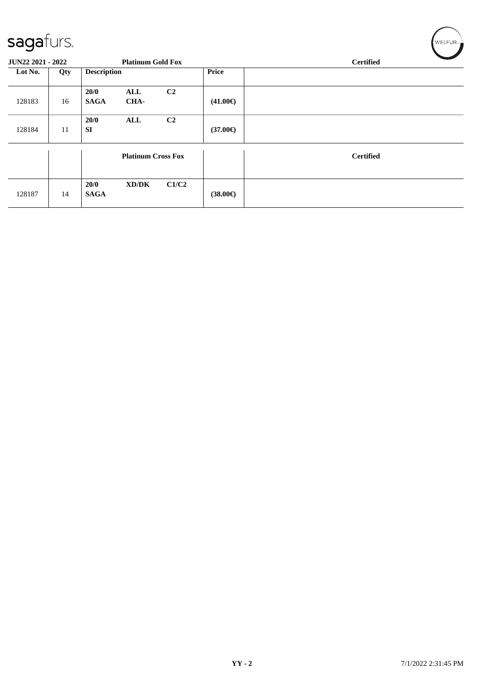| $\sim$            |     |                     |                           |                |                   |                  |
|-------------------|-----|---------------------|---------------------------|----------------|-------------------|------------------|
| JUN22 2021 - 2022 |     |                     | <b>Platinum Gold Fox</b>  |                |                   | <b>Certified</b> |
| Lot No.           | Qty | <b>Description</b>  |                           |                | Price             |                  |
| 128183            | 16  | 20/0<br><b>SAGA</b> | ALL<br>CHA-               | C <sub>2</sub> | $(41.00\epsilon)$ |                  |
| 128184            | 11  | 20/0<br><b>SI</b>   | ALL                       | C <sub>2</sub> | $(37.00\epsilon)$ |                  |
|                   |     |                     | <b>Platinum Cross Fox</b> |                |                   | <b>Certified</b> |
| 128187            | 14  | 20/0<br><b>SAGA</b> | XD/DK                     | C1/C2          | $(38.00\epsilon)$ |                  |

 $\left(\mathsf{WELFUR}_{\mathfrak{m}}\right)$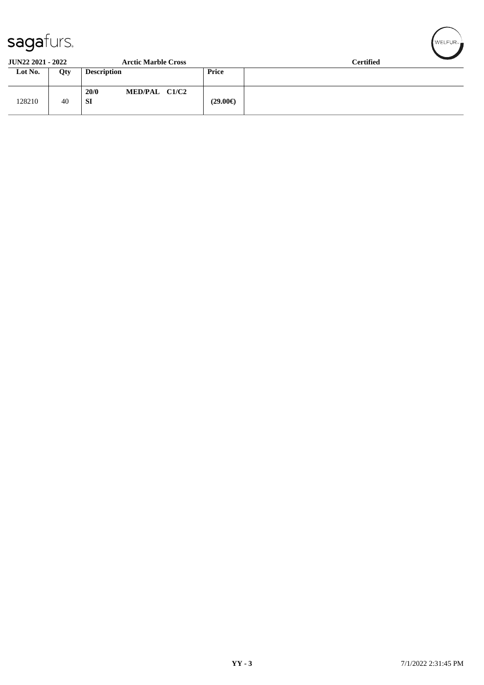| $\sim$ $\sim$ $\sim$ $\sim$ |     |                             |                   |                  |  |  |
|-----------------------------|-----|-----------------------------|-------------------|------------------|--|--|
| <b>JUN22 2021 - 2022</b>    |     | <b>Arctic Marble Cross</b>  |                   | <b>Certified</b> |  |  |
| Lot No.                     | Qty | <b>Description</b>          | Price             |                  |  |  |
| 128210                      | 40  | MED/PAL C1/C2<br>20/0<br>SI | $(29.00\epsilon)$ |                  |  |  |

 $\left(\mathsf{WELFUR}_{\approx}\right)$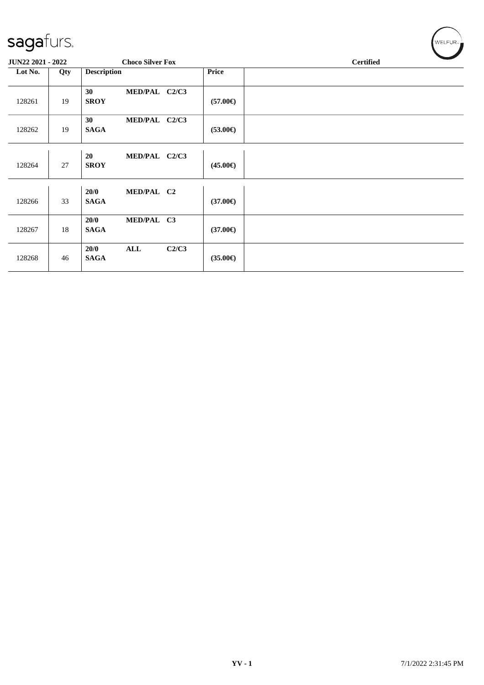| $\tilde{\phantom{a}}$ |     |                     |                         |       |                   |                  |  |  |  |
|-----------------------|-----|---------------------|-------------------------|-------|-------------------|------------------|--|--|--|
| JUN22 2021 - 2022     |     |                     | <b>Choco Silver Fox</b> |       |                   | <b>Certified</b> |  |  |  |
| Lot No.               | Qty | <b>Description</b>  |                         |       | <b>Price</b>      |                  |  |  |  |
| 128261                | 19  | 30<br><b>SROY</b>   | MED/PAL C2/C3           |       | $(57.00\epsilon)$ |                  |  |  |  |
| 128262                | 19  | 30<br><b>SAGA</b>   | MED/PAL C2/C3           |       | $(53.00\epsilon)$ |                  |  |  |  |
| 128264                | 27  | 20<br><b>SROY</b>   | MED/PAL C2/C3           |       | $(45.00\epsilon)$ |                  |  |  |  |
| 128266                | 33  | 20/0<br><b>SAGA</b> | MED/PAL C2              |       | $(37.00\epsilon)$ |                  |  |  |  |
| 128267                | 18  | 20/0<br><b>SAGA</b> | MED/PAL C3              |       | $(37.00\epsilon)$ |                  |  |  |  |
| 128268                | 46  | 20/0<br><b>SAGA</b> | $\mathbf{ALL}$          | C2/C3 | $(35.00\epsilon)$ |                  |  |  |  |

 $(w$ ELFUR<sub>"</sub>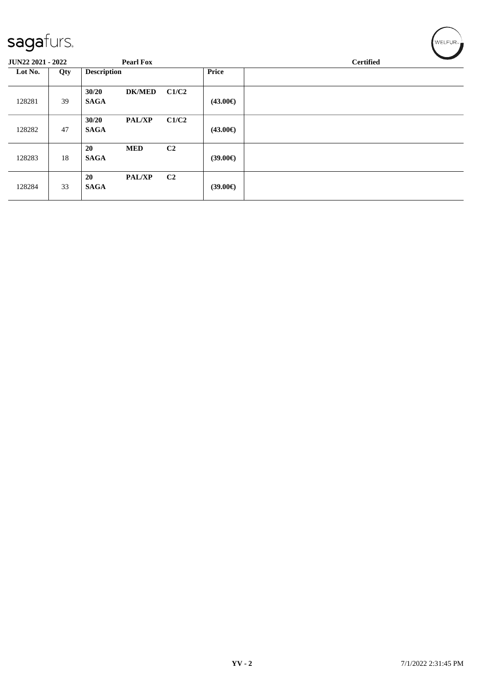| sagafurs.         |     |                      |                  |                | WELFUR <sub>™</sub> |                  |
|-------------------|-----|----------------------|------------------|----------------|---------------------|------------------|
| JUN22 2021 - 2022 |     |                      | <b>Pearl Fox</b> |                |                     | <b>Certified</b> |
| Lot No.           | Qty | <b>Description</b>   |                  |                | <b>Price</b>        |                  |
| 128281            | 39  | 30/20<br><b>SAGA</b> | <b>DK/MED</b>    | C1/C2          | $(43.00\epsilon)$   |                  |
| 128282            | 47  | 30/20<br><b>SAGA</b> | <b>PAL/XP</b>    | C1/C2          | $(43.00\epsilon)$   |                  |
| 128283            | 18  | 20<br><b>SAGA</b>    | <b>MED</b>       | C <sub>2</sub> | $(39.00\epsilon)$   |                  |
| 128284            | 33  | 20<br><b>SAGA</b>    | PAL/XP           | C <sub>2</sub> | $(39.00\epsilon)$   |                  |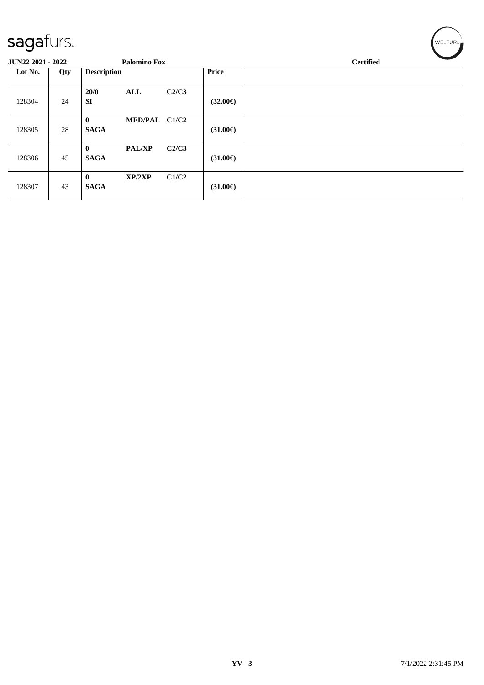| JUN22 2021 - 2022 |     |                             | <b>Palomino Fox</b> |               |                   | <b>Certified</b> |
|-------------------|-----|-----------------------------|---------------------|---------------|-------------------|------------------|
| Lot No.           | Qty | <b>Description</b>          |                     |               | <b>Price</b>      |                  |
| 128304            | 24  | 20/0<br>ALL<br><b>SI</b>    |                     | C2/C3         | $(32.00\epsilon)$ |                  |
| 128305            | 28  | $\mathbf{0}$<br><b>SAGA</b> |                     | MED/PAL C1/C2 | $(31.00\epsilon)$ |                  |
| 128306            | 45  | $\mathbf{0}$<br><b>SAGA</b> | <b>PAL/XP</b>       | C2/C3         | $(31.00\epsilon)$ |                  |
| 128307            | 43  | $\bf{0}$<br><b>SAGA</b>     | XP/2XP              | C1/C2         | $(31.00\epsilon)$ |                  |

 $w$ ELFUR<sub>m</sub>